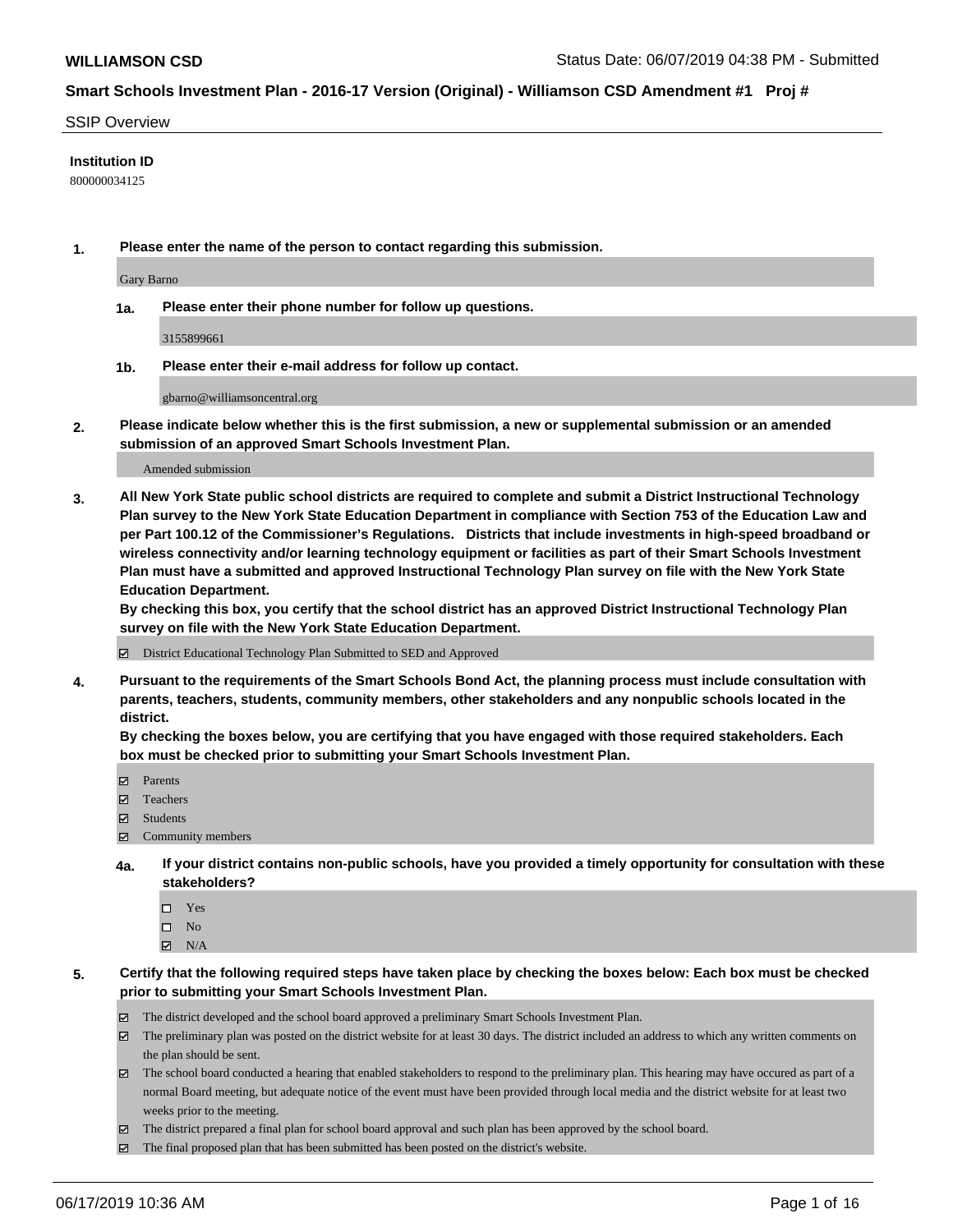#### SSIP Overview

### **Institution ID**

800000034125

**1. Please enter the name of the person to contact regarding this submission.**

Gary Barno

**1a. Please enter their phone number for follow up questions.**

3155899661

**1b. Please enter their e-mail address for follow up contact.**

gbarno@williamsoncentral.org

**2. Please indicate below whether this is the first submission, a new or supplemental submission or an amended submission of an approved Smart Schools Investment Plan.**

#### Amended submission

**3. All New York State public school districts are required to complete and submit a District Instructional Technology Plan survey to the New York State Education Department in compliance with Section 753 of the Education Law and per Part 100.12 of the Commissioner's Regulations. Districts that include investments in high-speed broadband or wireless connectivity and/or learning technology equipment or facilities as part of their Smart Schools Investment Plan must have a submitted and approved Instructional Technology Plan survey on file with the New York State Education Department.** 

**By checking this box, you certify that the school district has an approved District Instructional Technology Plan survey on file with the New York State Education Department.**

District Educational Technology Plan Submitted to SED and Approved

**4. Pursuant to the requirements of the Smart Schools Bond Act, the planning process must include consultation with parents, teachers, students, community members, other stakeholders and any nonpublic schools located in the district.** 

**By checking the boxes below, you are certifying that you have engaged with those required stakeholders. Each box must be checked prior to submitting your Smart Schools Investment Plan.**

- Parents
- Teachers
- Students
- Community members
- **4a. If your district contains non-public schools, have you provided a timely opportunity for consultation with these stakeholders?**
	- □ Yes
	- $\square$  No
	- $N/A$
- **5. Certify that the following required steps have taken place by checking the boxes below: Each box must be checked prior to submitting your Smart Schools Investment Plan.**
	- The district developed and the school board approved a preliminary Smart Schools Investment Plan.
	- $\boxtimes$  The preliminary plan was posted on the district website for at least 30 days. The district included an address to which any written comments on the plan should be sent.
	- The school board conducted a hearing that enabled stakeholders to respond to the preliminary plan. This hearing may have occured as part of a normal Board meeting, but adequate notice of the event must have been provided through local media and the district website for at least two weeks prior to the meeting.
	- The district prepared a final plan for school board approval and such plan has been approved by the school board.
	- $\boxtimes$  The final proposed plan that has been submitted has been posted on the district's website.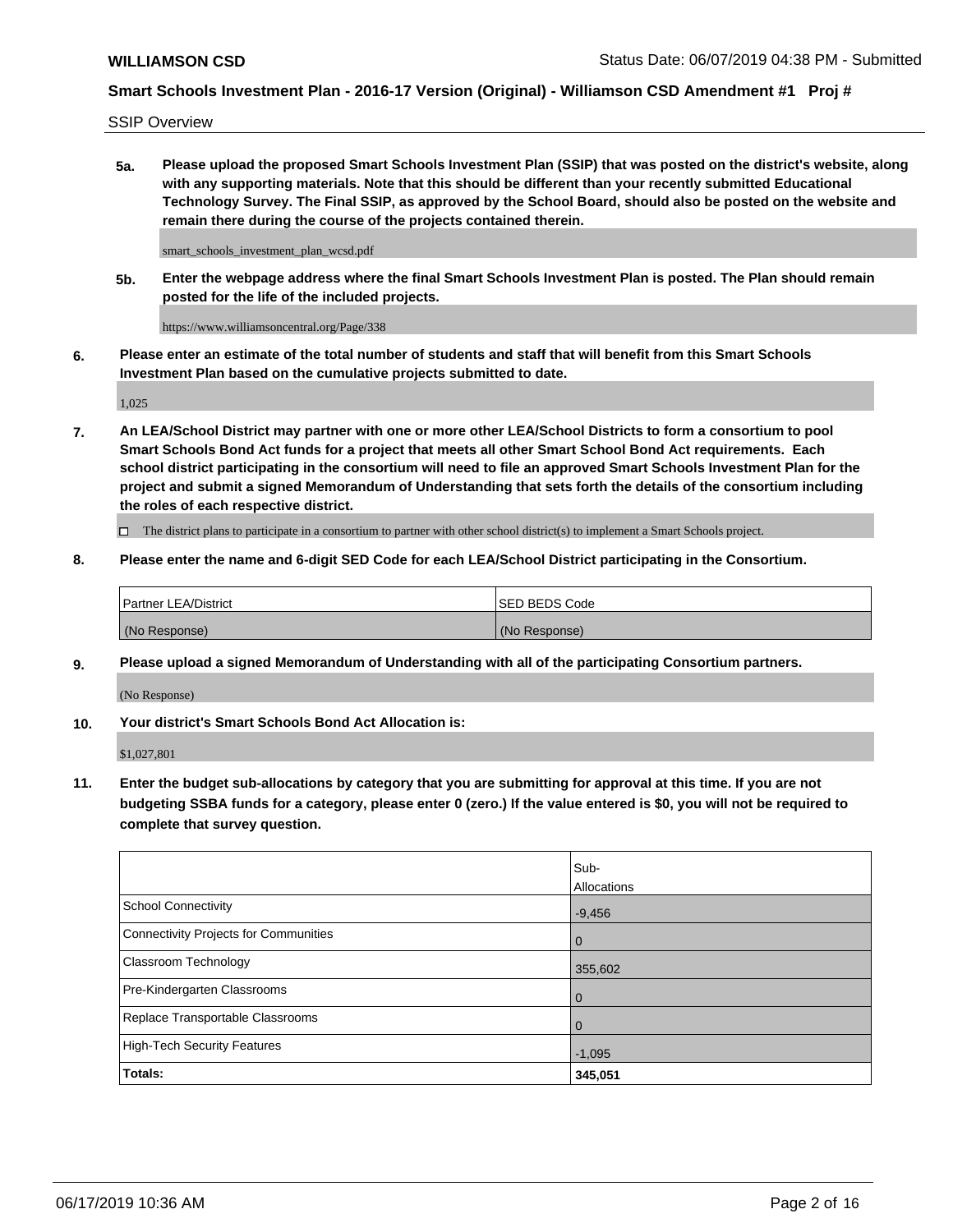SSIP Overview

**5a. Please upload the proposed Smart Schools Investment Plan (SSIP) that was posted on the district's website, along with any supporting materials. Note that this should be different than your recently submitted Educational Technology Survey. The Final SSIP, as approved by the School Board, should also be posted on the website and remain there during the course of the projects contained therein.**

smart\_schools\_investment\_plan\_wcsd.pdf

**5b. Enter the webpage address where the final Smart Schools Investment Plan is posted. The Plan should remain posted for the life of the included projects.**

https://www.williamsoncentral.org/Page/338

**6. Please enter an estimate of the total number of students and staff that will benefit from this Smart Schools Investment Plan based on the cumulative projects submitted to date.**

1,025

**7. An LEA/School District may partner with one or more other LEA/School Districts to form a consortium to pool Smart Schools Bond Act funds for a project that meets all other Smart School Bond Act requirements. Each school district participating in the consortium will need to file an approved Smart Schools Investment Plan for the project and submit a signed Memorandum of Understanding that sets forth the details of the consortium including the roles of each respective district.**

 $\Box$  The district plans to participate in a consortium to partner with other school district(s) to implement a Smart Schools project.

### **8. Please enter the name and 6-digit SED Code for each LEA/School District participating in the Consortium.**

| Partner LEA/District | <b>ISED BEDS Code</b> |
|----------------------|-----------------------|
| (No Response)        | (No Response)         |

#### **9. Please upload a signed Memorandum of Understanding with all of the participating Consortium partners.**

(No Response)

**10. Your district's Smart Schools Bond Act Allocation is:**

\$1,027,801

**11. Enter the budget sub-allocations by category that you are submitting for approval at this time. If you are not budgeting SSBA funds for a category, please enter 0 (zero.) If the value entered is \$0, you will not be required to complete that survey question.**

|                                       | Sub-<br>Allocations |
|---------------------------------------|---------------------|
| School Connectivity                   | $-9,456$            |
| Connectivity Projects for Communities | $\overline{0}$      |
| <b>Classroom Technology</b>           | 355,602             |
| Pre-Kindergarten Classrooms           | $\overline{0}$      |
| Replace Transportable Classrooms      |                     |
| High-Tech Security Features           | $-1,095$            |
| Totals:                               | 345,051             |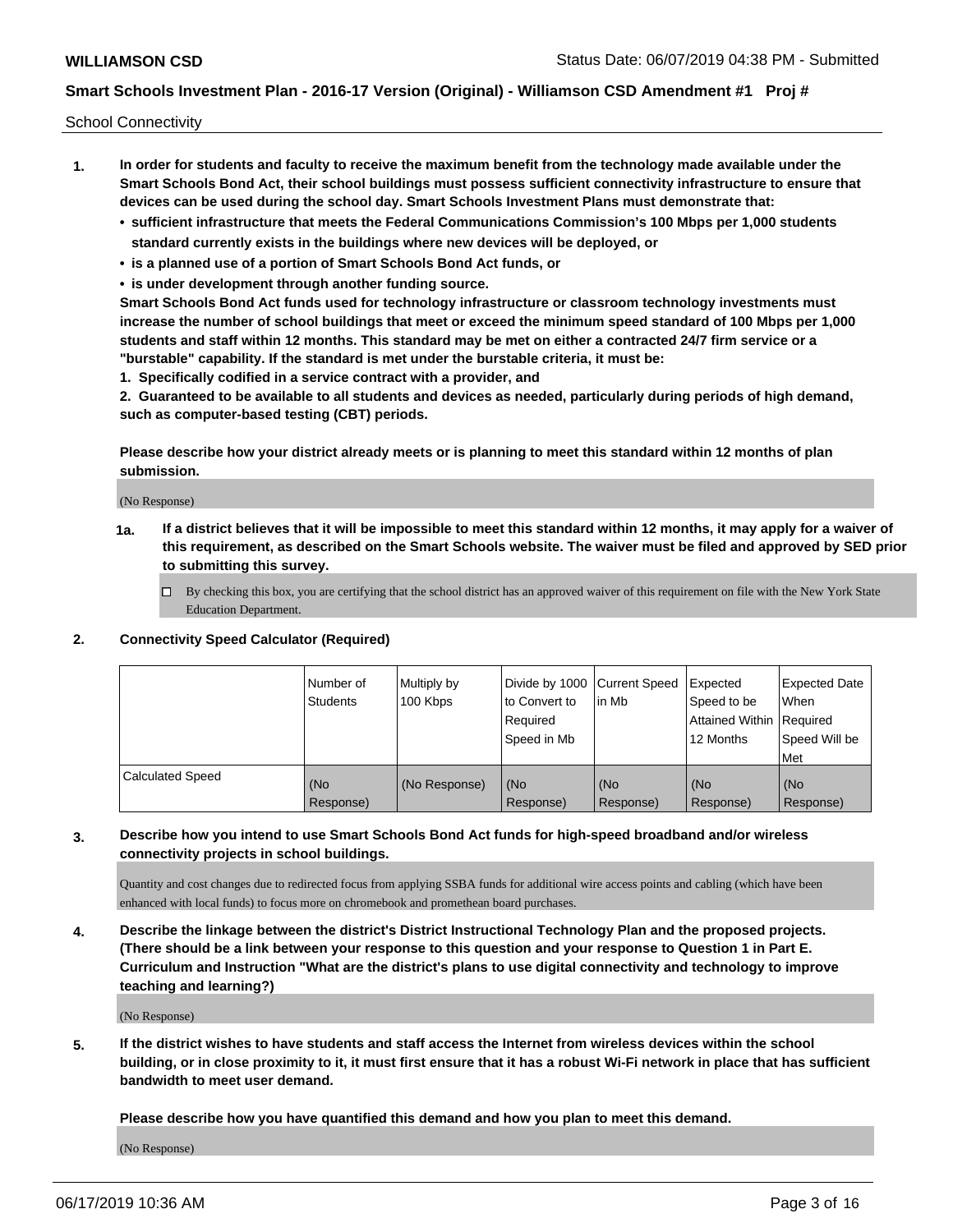School Connectivity

- **1. In order for students and faculty to receive the maximum benefit from the technology made available under the Smart Schools Bond Act, their school buildings must possess sufficient connectivity infrastructure to ensure that devices can be used during the school day. Smart Schools Investment Plans must demonstrate that:**
	- **• sufficient infrastructure that meets the Federal Communications Commission's 100 Mbps per 1,000 students standard currently exists in the buildings where new devices will be deployed, or**
	- **• is a planned use of a portion of Smart Schools Bond Act funds, or**
	- **• is under development through another funding source.**

**Smart Schools Bond Act funds used for technology infrastructure or classroom technology investments must increase the number of school buildings that meet or exceed the minimum speed standard of 100 Mbps per 1,000 students and staff within 12 months. This standard may be met on either a contracted 24/7 firm service or a "burstable" capability. If the standard is met under the burstable criteria, it must be:**

**1. Specifically codified in a service contract with a provider, and**

**2. Guaranteed to be available to all students and devices as needed, particularly during periods of high demand, such as computer-based testing (CBT) periods.**

**Please describe how your district already meets or is planning to meet this standard within 12 months of plan submission.**

(No Response)

**1a. If a district believes that it will be impossible to meet this standard within 12 months, it may apply for a waiver of this requirement, as described on the Smart Schools website. The waiver must be filed and approved by SED prior to submitting this survey.**

 $\Box$  By checking this box, you are certifying that the school district has an approved waiver of this requirement on file with the New York State Education Department.

#### **2. Connectivity Speed Calculator (Required)**

|                         | Number of<br>Students | Multiply by<br>100 Kbps | Divide by 1000 Current Speed<br>to Convert to<br>Required<br>Speed in Mb | lin Mb           | Expected<br>Speed to be<br>Attained Within   Required<br>12 Months | <b>Expected Date</b><br>When<br>Speed Will be<br><b>Met</b> |
|-------------------------|-----------------------|-------------------------|--------------------------------------------------------------------------|------------------|--------------------------------------------------------------------|-------------------------------------------------------------|
| <b>Calculated Speed</b> | (No<br>Response)      | (No Response)           | (No<br>Response)                                                         | (No<br>Response) | (No<br>Response)                                                   | (No<br>Response)                                            |

### **3. Describe how you intend to use Smart Schools Bond Act funds for high-speed broadband and/or wireless connectivity projects in school buildings.**

Quantity and cost changes due to redirected focus from applying SSBA funds for additional wire access points and cabling (which have been enhanced with local funds) to focus more on chromebook and promethean board purchases.

**4. Describe the linkage between the district's District Instructional Technology Plan and the proposed projects. (There should be a link between your response to this question and your response to Question 1 in Part E. Curriculum and Instruction "What are the district's plans to use digital connectivity and technology to improve teaching and learning?)**

(No Response)

**5. If the district wishes to have students and staff access the Internet from wireless devices within the school building, or in close proximity to it, it must first ensure that it has a robust Wi-Fi network in place that has sufficient bandwidth to meet user demand.**

**Please describe how you have quantified this demand and how you plan to meet this demand.**

(No Response)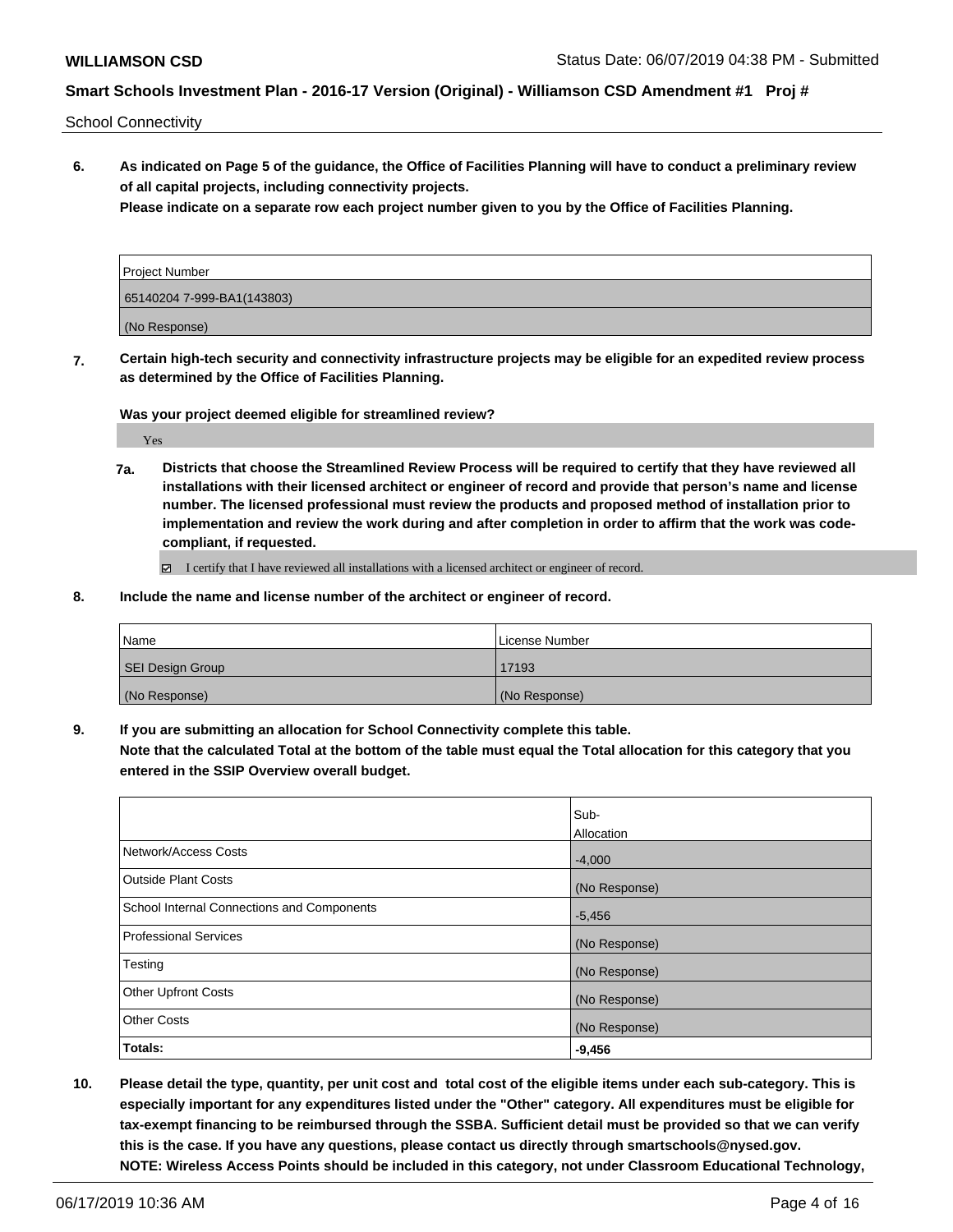School Connectivity

**6. As indicated on Page 5 of the guidance, the Office of Facilities Planning will have to conduct a preliminary review of all capital projects, including connectivity projects.**

**Please indicate on a separate row each project number given to you by the Office of Facilities Planning.**

| Project Number             |  |
|----------------------------|--|
| 65140204 7-999-BA1(143803) |  |
| (No Response)              |  |

**7. Certain high-tech security and connectivity infrastructure projects may be eligible for an expedited review process as determined by the Office of Facilities Planning.**

**Was your project deemed eligible for streamlined review?**

Yes

**7a. Districts that choose the Streamlined Review Process will be required to certify that they have reviewed all installations with their licensed architect or engineer of record and provide that person's name and license number. The licensed professional must review the products and proposed method of installation prior to implementation and review the work during and after completion in order to affirm that the work was codecompliant, if requested.**

I certify that I have reviewed all installations with a licensed architect or engineer of record.

**8. Include the name and license number of the architect or engineer of record.**

| Name             | License Number |
|------------------|----------------|
| SEI Design Group | 17193          |
| (No Response)    | (No Response)  |

**9. If you are submitting an allocation for School Connectivity complete this table. Note that the calculated Total at the bottom of the table must equal the Total allocation for this category that you entered in the SSIP Overview overall budget.** 

|                                            | Sub-          |
|--------------------------------------------|---------------|
|                                            | Allocation    |
| Network/Access Costs                       | $-4,000$      |
| Outside Plant Costs                        | (No Response) |
| School Internal Connections and Components | $-5,456$      |
| Professional Services                      | (No Response) |
| Testing                                    | (No Response) |
| <b>Other Upfront Costs</b>                 | (No Response) |
| <b>Other Costs</b>                         | (No Response) |
| Totals:                                    | $-9,456$      |

**10. Please detail the type, quantity, per unit cost and total cost of the eligible items under each sub-category. This is especially important for any expenditures listed under the "Other" category. All expenditures must be eligible for tax-exempt financing to be reimbursed through the SSBA. Sufficient detail must be provided so that we can verify this is the case. If you have any questions, please contact us directly through smartschools@nysed.gov. NOTE: Wireless Access Points should be included in this category, not under Classroom Educational Technology,**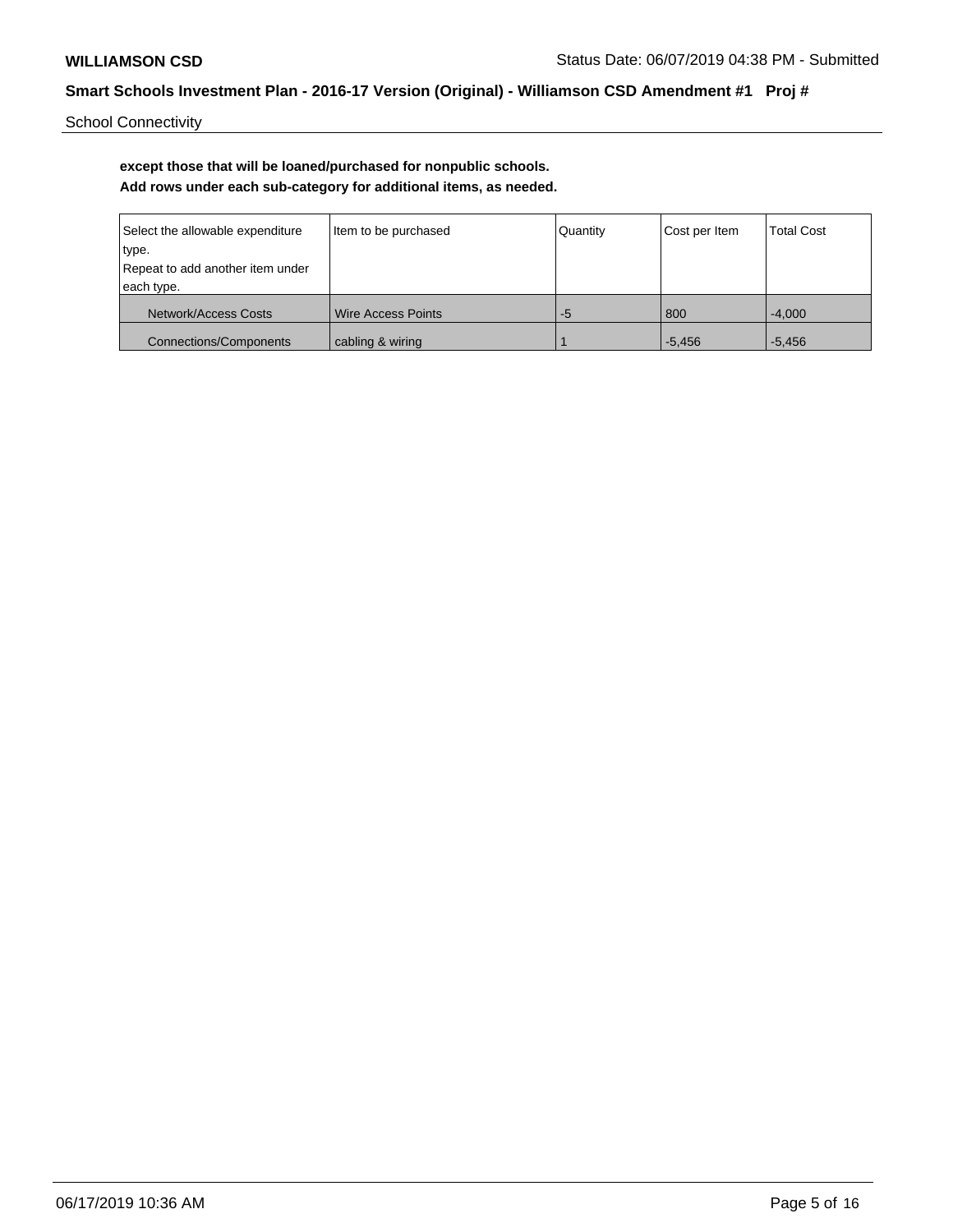School Connectivity

# **except those that will be loaned/purchased for nonpublic schools. Add rows under each sub-category for additional items, as needed.**

| Select the allowable expenditure<br>Item to be purchased |                           | Quantity | Cost per Item | <b>Total Cost</b> |
|----------------------------------------------------------|---------------------------|----------|---------------|-------------------|
| type.                                                    |                           |          |               |                   |
| Repeat to add another item under                         |                           |          |               |                   |
| each type.                                               |                           |          |               |                   |
| Network/Access Costs                                     | <b>Wire Access Points</b> | -5       | 800           | $-4.000$          |
| <b>Connections/Components</b><br>cabling & wiring        |                           |          | $-5.456$      | $-5.456$          |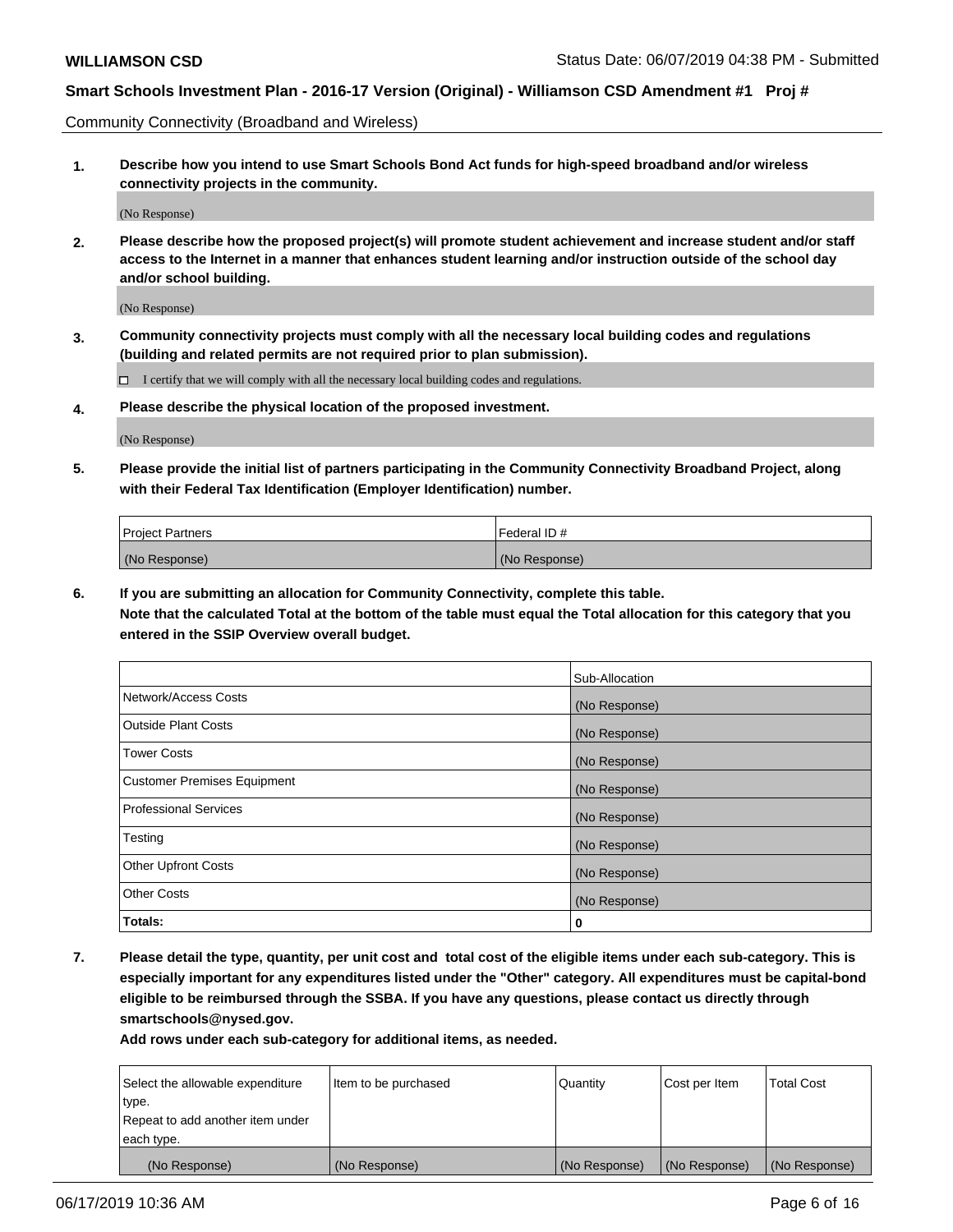Community Connectivity (Broadband and Wireless)

**1. Describe how you intend to use Smart Schools Bond Act funds for high-speed broadband and/or wireless connectivity projects in the community.**

(No Response)

**2. Please describe how the proposed project(s) will promote student achievement and increase student and/or staff access to the Internet in a manner that enhances student learning and/or instruction outside of the school day and/or school building.**

(No Response)

**3. Community connectivity projects must comply with all the necessary local building codes and regulations (building and related permits are not required prior to plan submission).**

 $\Box$  I certify that we will comply with all the necessary local building codes and regulations.

**4. Please describe the physical location of the proposed investment.**

(No Response)

**5. Please provide the initial list of partners participating in the Community Connectivity Broadband Project, along with their Federal Tax Identification (Employer Identification) number.**

| <b>Project Partners</b> | Federal ID#   |
|-------------------------|---------------|
| (No Response)           | (No Response) |

**6. If you are submitting an allocation for Community Connectivity, complete this table.**

**Note that the calculated Total at the bottom of the table must equal the Total allocation for this category that you entered in the SSIP Overview overall budget.**

|                                    | Sub-Allocation |
|------------------------------------|----------------|
| Network/Access Costs               | (No Response)  |
| <b>Outside Plant Costs</b>         | (No Response)  |
| <b>Tower Costs</b>                 | (No Response)  |
| <b>Customer Premises Equipment</b> | (No Response)  |
| <b>Professional Services</b>       | (No Response)  |
| Testing                            | (No Response)  |
| <b>Other Upfront Costs</b>         | (No Response)  |
| <b>Other Costs</b>                 | (No Response)  |
| Totals:                            | 0              |

**7. Please detail the type, quantity, per unit cost and total cost of the eligible items under each sub-category. This is especially important for any expenditures listed under the "Other" category. All expenditures must be capital-bond eligible to be reimbursed through the SSBA. If you have any questions, please contact us directly through smartschools@nysed.gov.**

| Select the allowable expenditure | Item to be purchased | Quantity      | Cost per Item | <b>Total Cost</b> |
|----------------------------------|----------------------|---------------|---------------|-------------------|
| type.                            |                      |               |               |                   |
| Repeat to add another item under |                      |               |               |                   |
| each type.                       |                      |               |               |                   |
| (No Response)                    | (No Response)        | (No Response) | (No Response) | (No Response)     |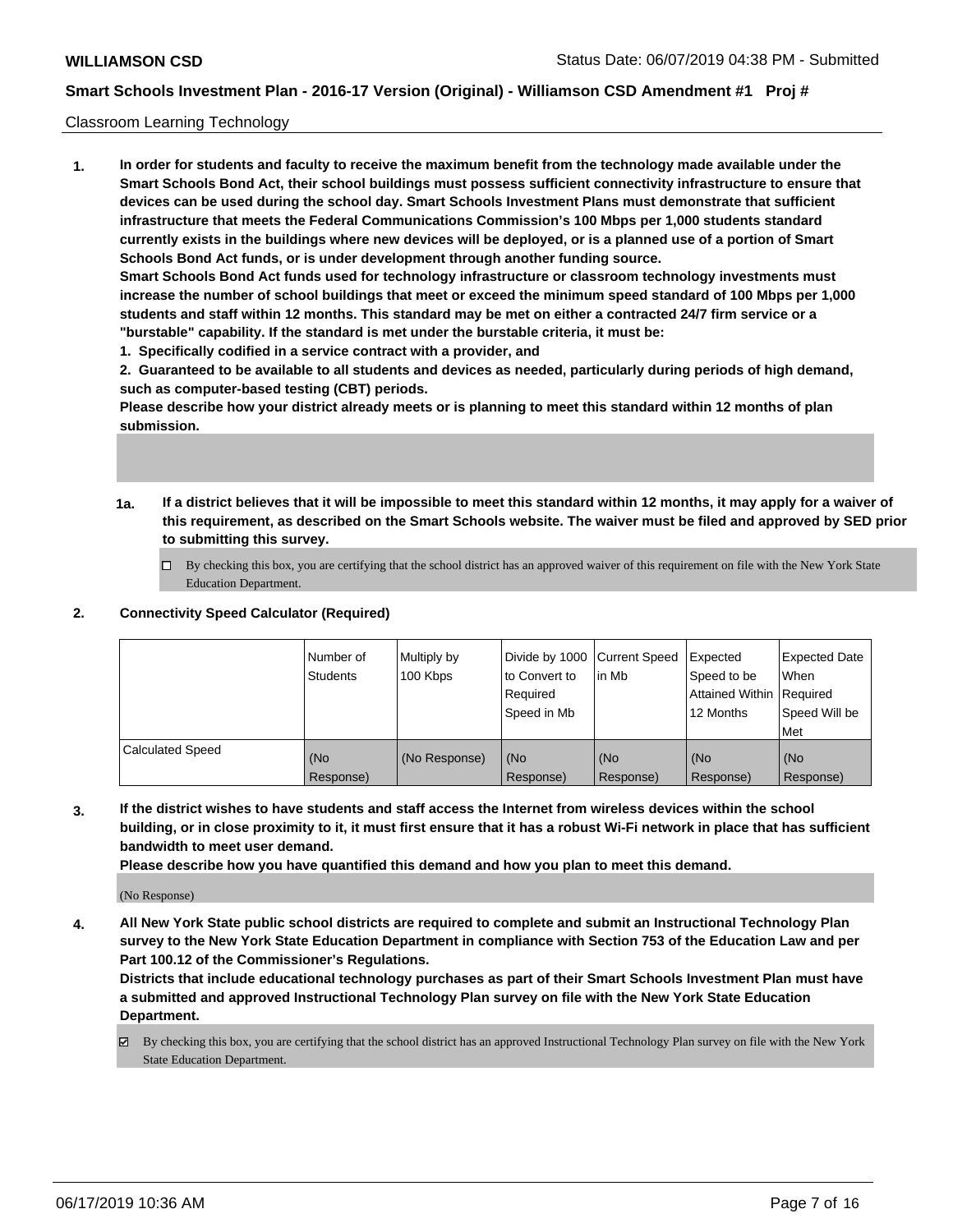### Classroom Learning Technology

**1. In order for students and faculty to receive the maximum benefit from the technology made available under the Smart Schools Bond Act, their school buildings must possess sufficient connectivity infrastructure to ensure that devices can be used during the school day. Smart Schools Investment Plans must demonstrate that sufficient infrastructure that meets the Federal Communications Commission's 100 Mbps per 1,000 students standard currently exists in the buildings where new devices will be deployed, or is a planned use of a portion of Smart Schools Bond Act funds, or is under development through another funding source. Smart Schools Bond Act funds used for technology infrastructure or classroom technology investments must increase the number of school buildings that meet or exceed the minimum speed standard of 100 Mbps per 1,000**

**students and staff within 12 months. This standard may be met on either a contracted 24/7 firm service or a "burstable" capability. If the standard is met under the burstable criteria, it must be:**

**1. Specifically codified in a service contract with a provider, and**

**2. Guaranteed to be available to all students and devices as needed, particularly during periods of high demand, such as computer-based testing (CBT) periods.**

**Please describe how your district already meets or is planning to meet this standard within 12 months of plan submission.**

- **1a. If a district believes that it will be impossible to meet this standard within 12 months, it may apply for a waiver of this requirement, as described on the Smart Schools website. The waiver must be filed and approved by SED prior to submitting this survey.**
	- By checking this box, you are certifying that the school district has an approved waiver of this requirement on file with the New York State Education Department.

### **2. Connectivity Speed Calculator (Required)**

|                         | Number of<br>Students | Multiply by<br>100 Kbps | to Convert to<br>Required<br>Speed in Mb | Divide by 1000 Current Speed Expected<br>lin Mb | Speed to be<br>Attained Within Required<br>12 Months | <b>Expected Date</b><br>When<br>Speed Will be<br><b>Met</b> |
|-------------------------|-----------------------|-------------------------|------------------------------------------|-------------------------------------------------|------------------------------------------------------|-------------------------------------------------------------|
| <b>Calculated Speed</b> | (No<br>Response)      | (No Response)           | (No<br>Response)                         | (No<br>Response)                                | (No<br>Response)                                     | (No<br>Response)                                            |

**3. If the district wishes to have students and staff access the Internet from wireless devices within the school building, or in close proximity to it, it must first ensure that it has a robust Wi-Fi network in place that has sufficient bandwidth to meet user demand.**

**Please describe how you have quantified this demand and how you plan to meet this demand.**

(No Response)

**4. All New York State public school districts are required to complete and submit an Instructional Technology Plan survey to the New York State Education Department in compliance with Section 753 of the Education Law and per Part 100.12 of the Commissioner's Regulations.**

**Districts that include educational technology purchases as part of their Smart Schools Investment Plan must have a submitted and approved Instructional Technology Plan survey on file with the New York State Education Department.**

By checking this box, you are certifying that the school district has an approved Instructional Technology Plan survey on file with the New York State Education Department.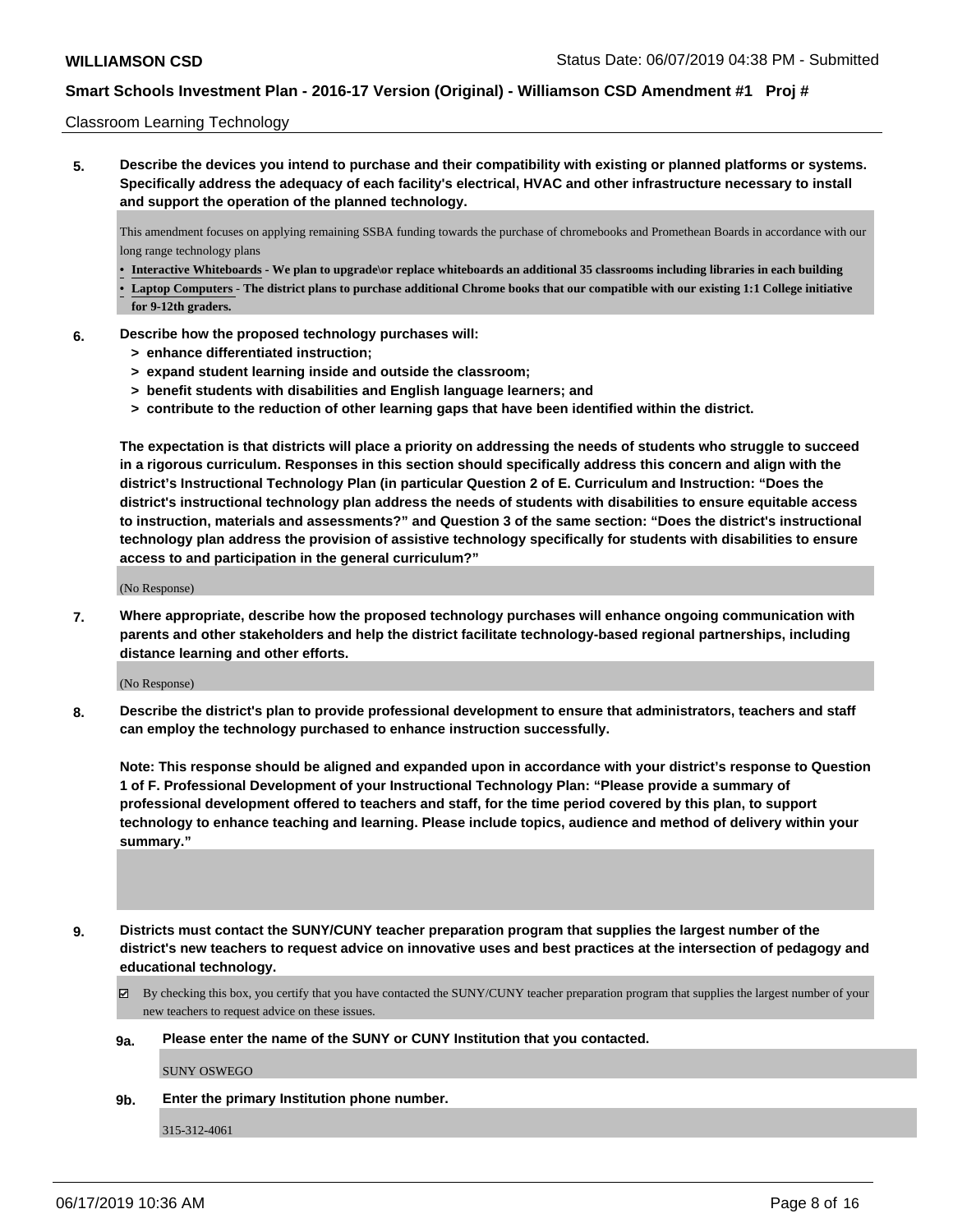### Classroom Learning Technology

**5. Describe the devices you intend to purchase and their compatibility with existing or planned platforms or systems. Specifically address the adequacy of each facility's electrical, HVAC and other infrastructure necessary to install and support the operation of the planned technology.**

This amendment focuses on applying remaining SSBA funding towards the purchase of chromebooks and Promethean Boards in accordance with our long range technology plans

- **• Interactive Whiteboards We plan to upgrade\or replace whiteboards an additional 35 classrooms including libraries in each building**
- **• Laptop Computers The district plans to purchase additional Chrome books that our compatible with our existing 1:1 College initiative for 9-12th graders.**
- **6. Describe how the proposed technology purchases will:**
	- **> enhance differentiated instruction;**
	- **> expand student learning inside and outside the classroom;**
	- **> benefit students with disabilities and English language learners; and**
	- **> contribute to the reduction of other learning gaps that have been identified within the district.**

**The expectation is that districts will place a priority on addressing the needs of students who struggle to succeed in a rigorous curriculum. Responses in this section should specifically address this concern and align with the district's Instructional Technology Plan (in particular Question 2 of E. Curriculum and Instruction: "Does the district's instructional technology plan address the needs of students with disabilities to ensure equitable access to instruction, materials and assessments?" and Question 3 of the same section: "Does the district's instructional technology plan address the provision of assistive technology specifically for students with disabilities to ensure access to and participation in the general curriculum?"**

(No Response)

**7. Where appropriate, describe how the proposed technology purchases will enhance ongoing communication with parents and other stakeholders and help the district facilitate technology-based regional partnerships, including distance learning and other efforts.**

(No Response)

**8. Describe the district's plan to provide professional development to ensure that administrators, teachers and staff can employ the technology purchased to enhance instruction successfully.**

**Note: This response should be aligned and expanded upon in accordance with your district's response to Question 1 of F. Professional Development of your Instructional Technology Plan: "Please provide a summary of professional development offered to teachers and staff, for the time period covered by this plan, to support technology to enhance teaching and learning. Please include topics, audience and method of delivery within your summary."**

- **9. Districts must contact the SUNY/CUNY teacher preparation program that supplies the largest number of the district's new teachers to request advice on innovative uses and best practices at the intersection of pedagogy and educational technology.**
	- By checking this box, you certify that you have contacted the SUNY/CUNY teacher preparation program that supplies the largest number of your new teachers to request advice on these issues.
	- **9a. Please enter the name of the SUNY or CUNY Institution that you contacted.**

SUNY OSWEGO

**9b. Enter the primary Institution phone number.**

315-312-4061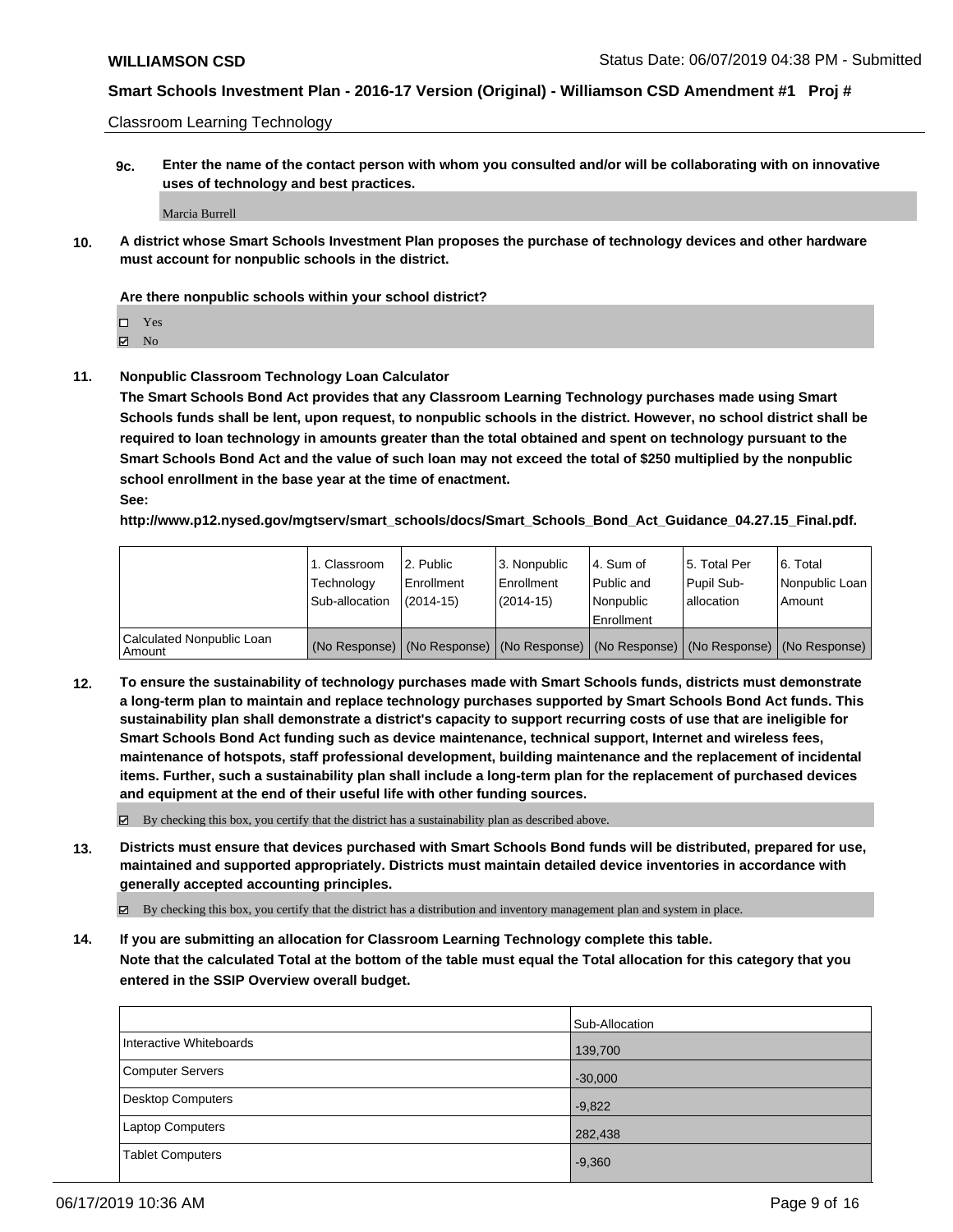Classroom Learning Technology

**9c. Enter the name of the contact person with whom you consulted and/or will be collaborating with on innovative uses of technology and best practices.**

Marcia Burrell

**10. A district whose Smart Schools Investment Plan proposes the purchase of technology devices and other hardware must account for nonpublic schools in the district.**

#### **Are there nonpublic schools within your school district?**

 $\Pi$  Yes

 $\boxtimes$  No

**11. Nonpublic Classroom Technology Loan Calculator**

**The Smart Schools Bond Act provides that any Classroom Learning Technology purchases made using Smart Schools funds shall be lent, upon request, to nonpublic schools in the district. However, no school district shall be required to loan technology in amounts greater than the total obtained and spent on technology pursuant to the Smart Schools Bond Act and the value of such loan may not exceed the total of \$250 multiplied by the nonpublic school enrollment in the base year at the time of enactment.**

**See:**

**http://www.p12.nysed.gov/mgtserv/smart\_schools/docs/Smart\_Schools\_Bond\_Act\_Guidance\_04.27.15\_Final.pdf.**

|                                       | 1. Classroom<br>Technology<br>Sub-allocation | 2. Public<br>Enrollment<br>(2014-15) | 3. Nonpublic<br>Enrollment<br>(2014-15) | 14. Sum of<br>Public and<br>l Nonpublic<br>Enrollment | l 5. Total Per<br>Pupil Sub-<br>allocation | 6. Total<br>Nonpublic Loan  <br>Amount                                                        |
|---------------------------------------|----------------------------------------------|--------------------------------------|-----------------------------------------|-------------------------------------------------------|--------------------------------------------|-----------------------------------------------------------------------------------------------|
| Calculated Nonpublic Loan<br>l Amount |                                              |                                      |                                         |                                                       |                                            | (No Response)   (No Response)   (No Response)   (No Response)   (No Response)   (No Response) |

**12. To ensure the sustainability of technology purchases made with Smart Schools funds, districts must demonstrate a long-term plan to maintain and replace technology purchases supported by Smart Schools Bond Act funds. This sustainability plan shall demonstrate a district's capacity to support recurring costs of use that are ineligible for Smart Schools Bond Act funding such as device maintenance, technical support, Internet and wireless fees, maintenance of hotspots, staff professional development, building maintenance and the replacement of incidental items. Further, such a sustainability plan shall include a long-term plan for the replacement of purchased devices and equipment at the end of their useful life with other funding sources.**

By checking this box, you certify that the district has a sustainability plan as described above.

**13. Districts must ensure that devices purchased with Smart Schools Bond funds will be distributed, prepared for use, maintained and supported appropriately. Districts must maintain detailed device inventories in accordance with generally accepted accounting principles.**

By checking this box, you certify that the district has a distribution and inventory management plan and system in place.

**14. If you are submitting an allocation for Classroom Learning Technology complete this table. Note that the calculated Total at the bottom of the table must equal the Total allocation for this category that you**

**entered in the SSIP Overview overall budget.**

|                          | Sub-Allocation |
|--------------------------|----------------|
| Interactive Whiteboards  | 139,700        |
| Computer Servers         | $-30,000$      |
| <b>Desktop Computers</b> | $-9,822$       |
| <b>Laptop Computers</b>  | 282,438        |
| <b>Tablet Computers</b>  | $-9,360$       |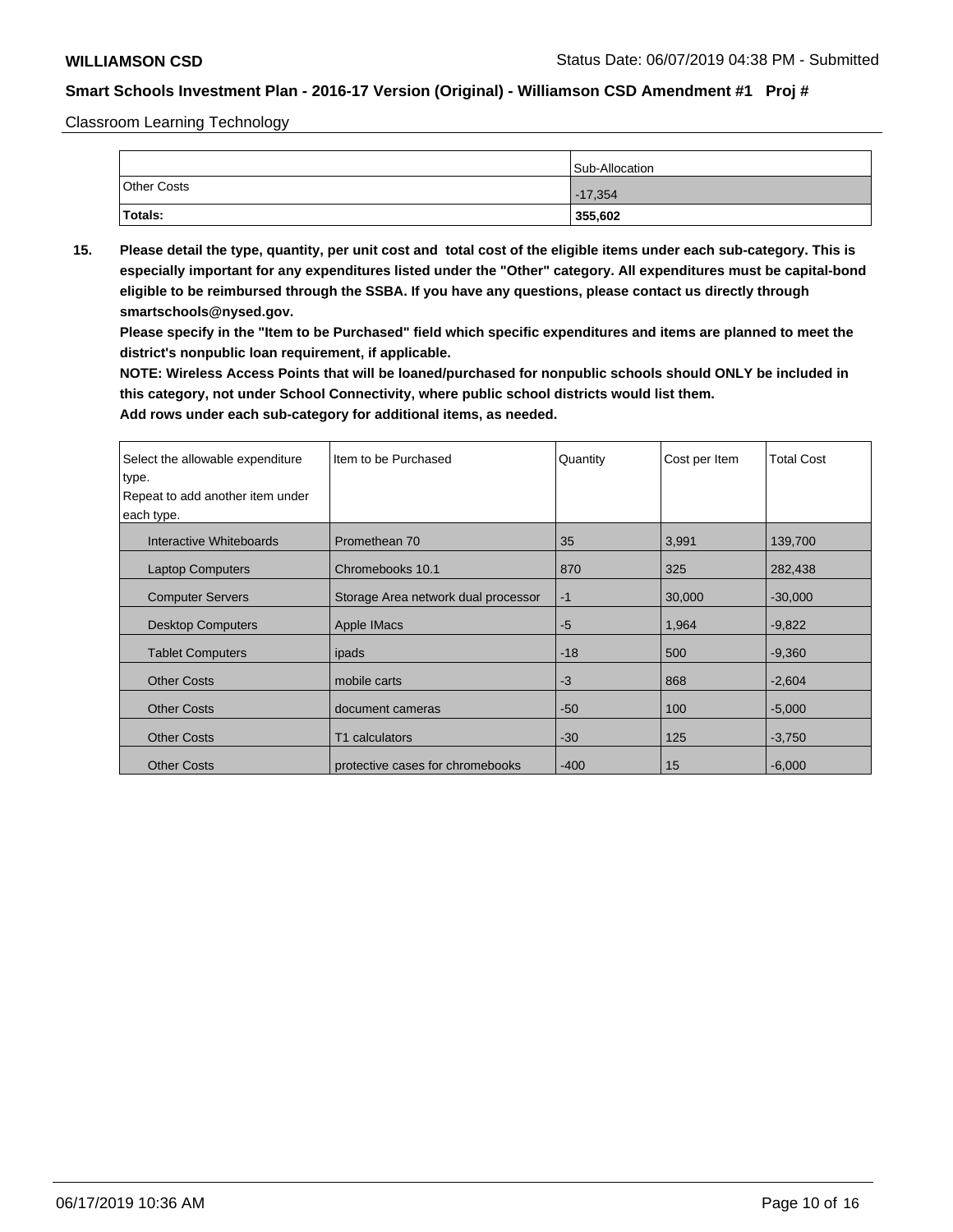Classroom Learning Technology

|             | Sub-Allocation |
|-------------|----------------|
| Other Costs | $-17,354$      |
| Totals:     | 355,602        |

**15. Please detail the type, quantity, per unit cost and total cost of the eligible items under each sub-category. This is especially important for any expenditures listed under the "Other" category. All expenditures must be capital-bond eligible to be reimbursed through the SSBA. If you have any questions, please contact us directly through smartschools@nysed.gov.**

**Please specify in the "Item to be Purchased" field which specific expenditures and items are planned to meet the district's nonpublic loan requirement, if applicable.**

**NOTE: Wireless Access Points that will be loaned/purchased for nonpublic schools should ONLY be included in this category, not under School Connectivity, where public school districts would list them.**

| Select the allowable expenditure | Item to be Purchased                | Quantity | Cost per Item | <b>Total Cost</b> |
|----------------------------------|-------------------------------------|----------|---------------|-------------------|
| type.                            |                                     |          |               |                   |
| Repeat to add another item under |                                     |          |               |                   |
| each type.                       |                                     |          |               |                   |
| Interactive Whiteboards          | Promethean 70                       | 35       | 3,991         | 139,700           |
| <b>Laptop Computers</b>          | Chromebooks 10.1                    | 870      | 325           | 282,438           |
| <b>Computer Servers</b>          | Storage Area network dual processor | $-1$     | 30,000        | $-30,000$         |
| <b>Desktop Computers</b>         | <b>Apple IMacs</b>                  | $-5$     | 1,964         | $-9,822$          |
| <b>Tablet Computers</b>          | ipads                               | $-18$    | 500           | $-9,360$          |
| <b>Other Costs</b>               | mobile carts                        | $-3$     | 868           | $-2,604$          |
| <b>Other Costs</b>               | document cameras                    | $-50$    | 100           | $-5,000$          |
| <b>Other Costs</b>               | T1 calculators                      | $-30$    | 125           | $-3,750$          |
| <b>Other Costs</b>               | protective cases for chromebooks    | $-400$   | 15            | $-6,000$          |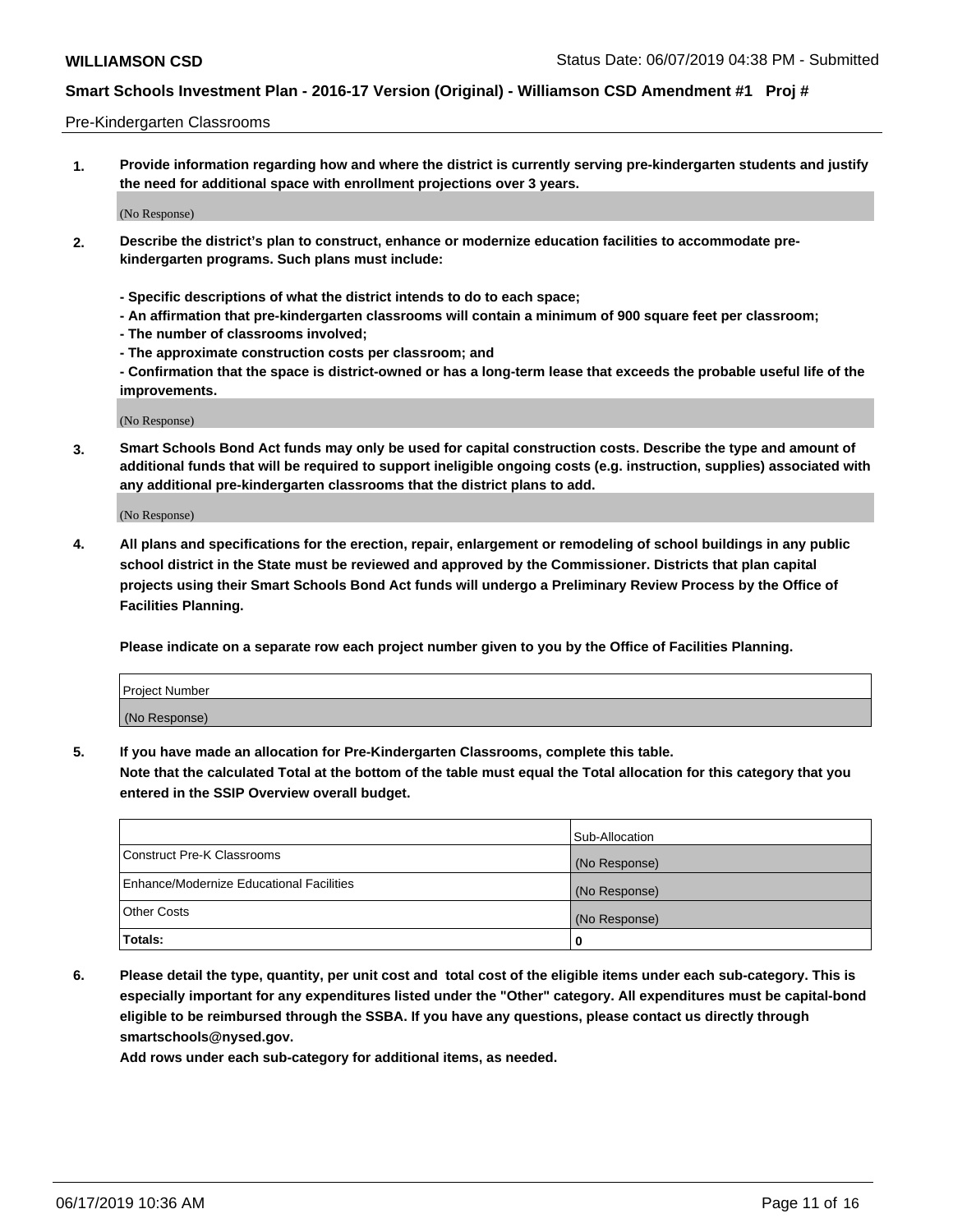### Pre-Kindergarten Classrooms

**1. Provide information regarding how and where the district is currently serving pre-kindergarten students and justify the need for additional space with enrollment projections over 3 years.**

(No Response)

- **2. Describe the district's plan to construct, enhance or modernize education facilities to accommodate prekindergarten programs. Such plans must include:**
	- **Specific descriptions of what the district intends to do to each space;**
	- **An affirmation that pre-kindergarten classrooms will contain a minimum of 900 square feet per classroom;**
	- **The number of classrooms involved;**
	- **The approximate construction costs per classroom; and**
	- **Confirmation that the space is district-owned or has a long-term lease that exceeds the probable useful life of the improvements.**

(No Response)

**3. Smart Schools Bond Act funds may only be used for capital construction costs. Describe the type and amount of additional funds that will be required to support ineligible ongoing costs (e.g. instruction, supplies) associated with any additional pre-kindergarten classrooms that the district plans to add.**

(No Response)

**4. All plans and specifications for the erection, repair, enlargement or remodeling of school buildings in any public school district in the State must be reviewed and approved by the Commissioner. Districts that plan capital projects using their Smart Schools Bond Act funds will undergo a Preliminary Review Process by the Office of Facilities Planning.**

**Please indicate on a separate row each project number given to you by the Office of Facilities Planning.**

| Project Number |  |
|----------------|--|
| (No Response)  |  |
|                |  |

**5. If you have made an allocation for Pre-Kindergarten Classrooms, complete this table.**

**Note that the calculated Total at the bottom of the table must equal the Total allocation for this category that you entered in the SSIP Overview overall budget.**

|                                          | Sub-Allocation |
|------------------------------------------|----------------|
| Construct Pre-K Classrooms               | (No Response)  |
| Enhance/Modernize Educational Facilities | (No Response)  |
| <b>Other Costs</b>                       | (No Response)  |
| Totals:                                  | 0              |

**6. Please detail the type, quantity, per unit cost and total cost of the eligible items under each sub-category. This is especially important for any expenditures listed under the "Other" category. All expenditures must be capital-bond eligible to be reimbursed through the SSBA. If you have any questions, please contact us directly through smartschools@nysed.gov.**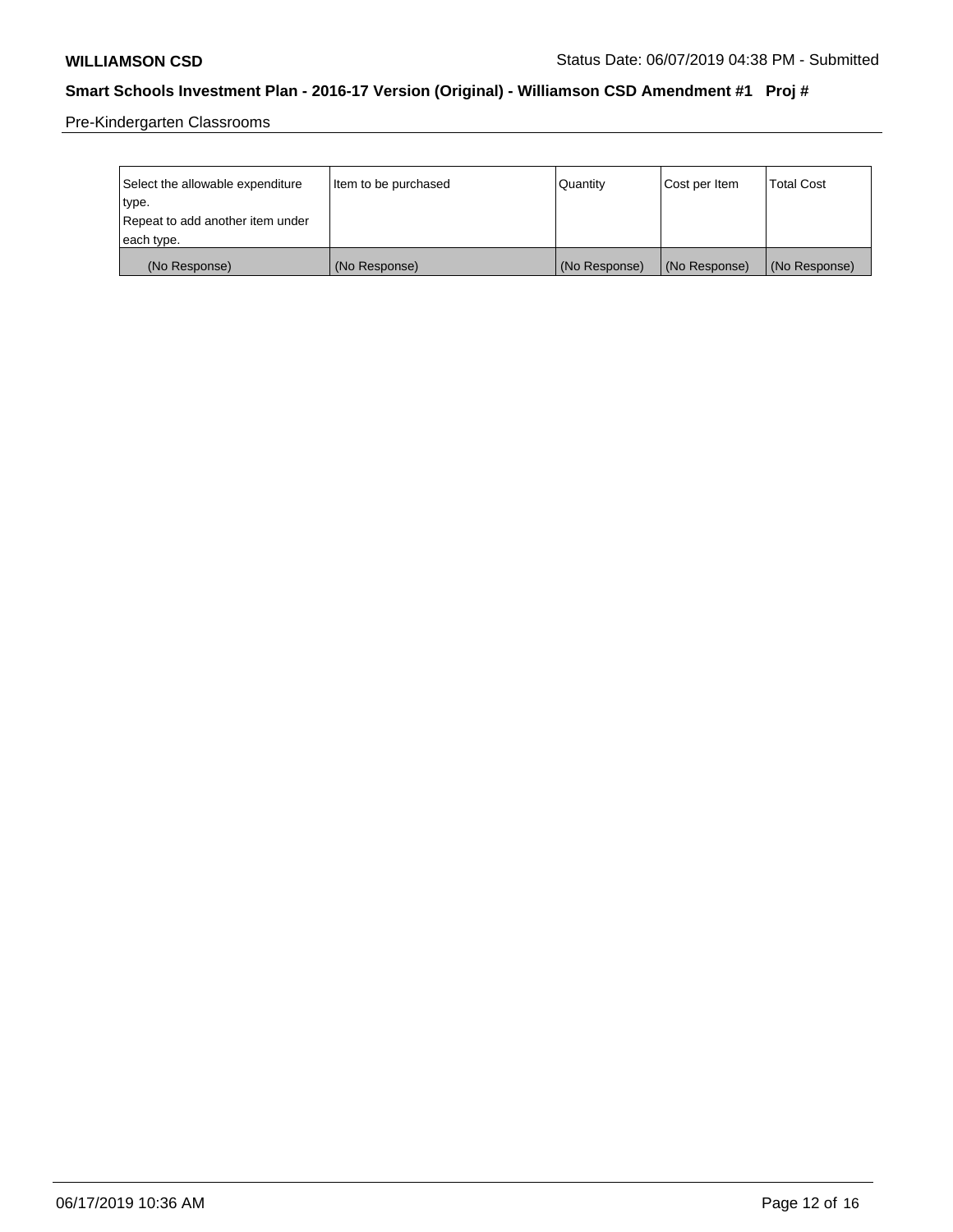Pre-Kindergarten Classrooms

| Select the allowable expenditure<br>type.      | Item to be purchased | Quantity      | Cost per Item | <b>Total Cost</b> |
|------------------------------------------------|----------------------|---------------|---------------|-------------------|
| Repeat to add another item under<br>each type. |                      |               |               |                   |
| (No Response)                                  | (No Response)        | (No Response) | (No Response) | (No Response)     |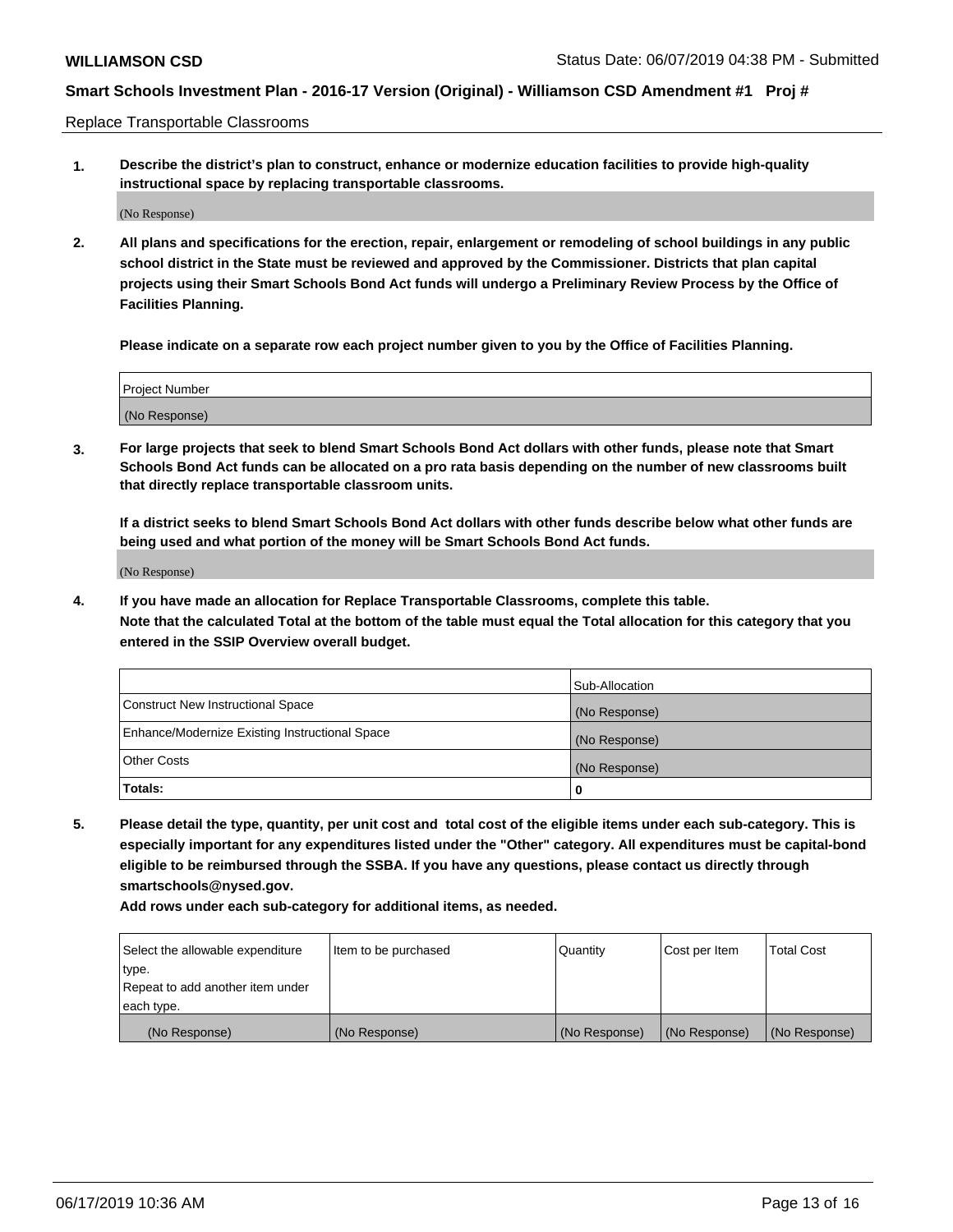Replace Transportable Classrooms

**1. Describe the district's plan to construct, enhance or modernize education facilities to provide high-quality instructional space by replacing transportable classrooms.**

(No Response)

**2. All plans and specifications for the erection, repair, enlargement or remodeling of school buildings in any public school district in the State must be reviewed and approved by the Commissioner. Districts that plan capital projects using their Smart Schools Bond Act funds will undergo a Preliminary Review Process by the Office of Facilities Planning.**

**Please indicate on a separate row each project number given to you by the Office of Facilities Planning.**

| Project Number |  |
|----------------|--|
|                |  |
|                |  |
|                |  |
|                |  |
| (No Response)  |  |
|                |  |
|                |  |
|                |  |

**3. For large projects that seek to blend Smart Schools Bond Act dollars with other funds, please note that Smart Schools Bond Act funds can be allocated on a pro rata basis depending on the number of new classrooms built that directly replace transportable classroom units.**

**If a district seeks to blend Smart Schools Bond Act dollars with other funds describe below what other funds are being used and what portion of the money will be Smart Schools Bond Act funds.**

(No Response)

**4. If you have made an allocation for Replace Transportable Classrooms, complete this table. Note that the calculated Total at the bottom of the table must equal the Total allocation for this category that you entered in the SSIP Overview overall budget.**

|                                                | Sub-Allocation |
|------------------------------------------------|----------------|
| Construct New Instructional Space              | (No Response)  |
| Enhance/Modernize Existing Instructional Space | (No Response)  |
| <b>Other Costs</b>                             | (No Response)  |
| Totals:                                        | 0              |

**5. Please detail the type, quantity, per unit cost and total cost of the eligible items under each sub-category. This is especially important for any expenditures listed under the "Other" category. All expenditures must be capital-bond eligible to be reimbursed through the SSBA. If you have any questions, please contact us directly through smartschools@nysed.gov.**

| Select the allowable expenditure | Item to be purchased | Quantity      | Cost per Item | Total Cost    |
|----------------------------------|----------------------|---------------|---------------|---------------|
| type.                            |                      |               |               |               |
| Repeat to add another item under |                      |               |               |               |
| each type.                       |                      |               |               |               |
| (No Response)                    | (No Response)        | (No Response) | (No Response) | (No Response) |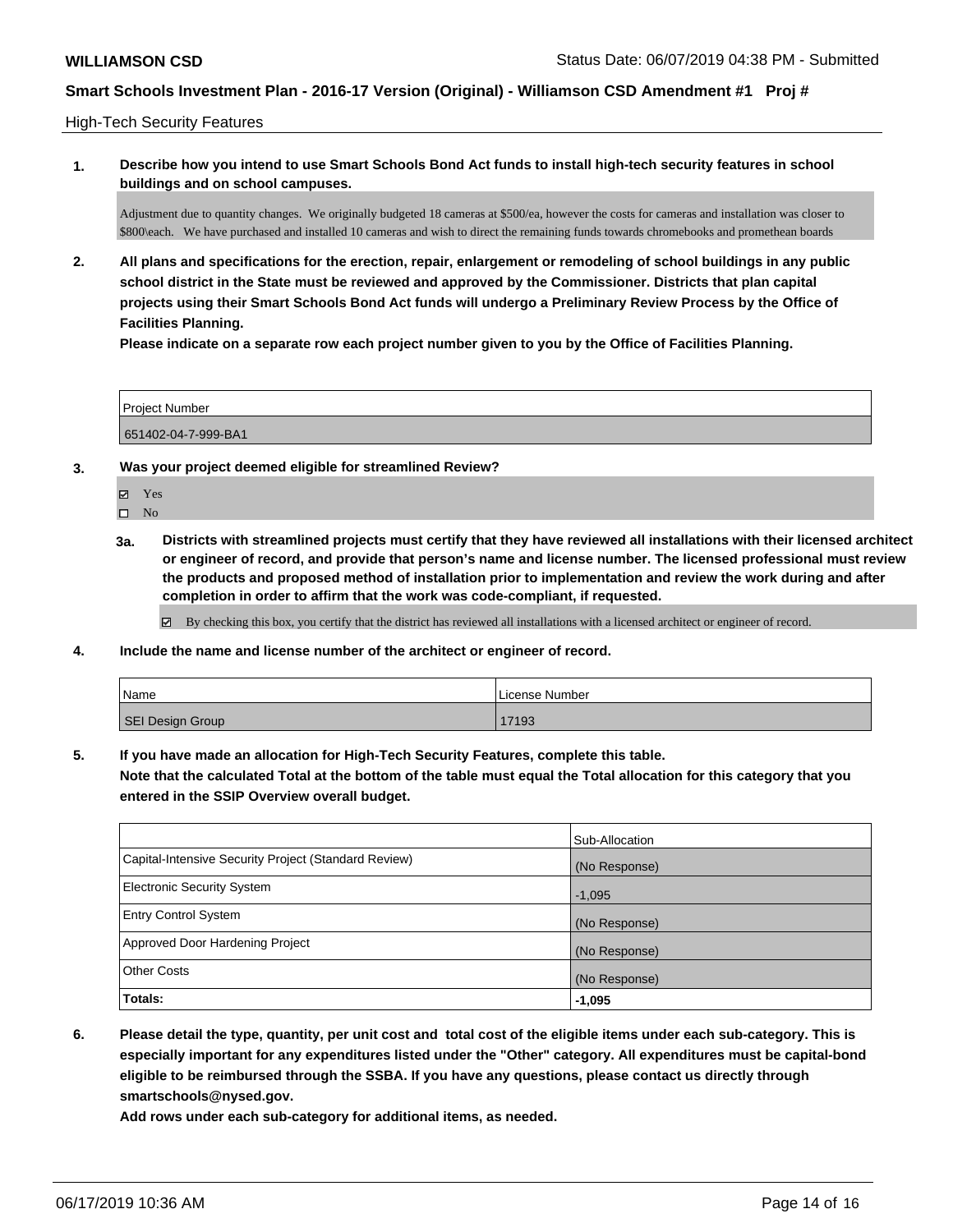High-Tech Security Features

**1. Describe how you intend to use Smart Schools Bond Act funds to install high-tech security features in school buildings and on school campuses.**

Adjustment due to quantity changes. We originally budgeted 18 cameras at \$500/ea, however the costs for cameras and installation was closer to \$800\each. We have purchased and installed 10 cameras and wish to direct the remaining funds towards chromebooks and promethean boards

**2. All plans and specifications for the erection, repair, enlargement or remodeling of school buildings in any public school district in the State must be reviewed and approved by the Commissioner. Districts that plan capital projects using their Smart Schools Bond Act funds will undergo a Preliminary Review Process by the Office of Facilities Planning.** 

**Please indicate on a separate row each project number given to you by the Office of Facilities Planning.**

| <b>Project Number</b> |  |
|-----------------------|--|
| 651402-04-7-999-BA1   |  |

- **3. Was your project deemed eligible for streamlined Review?**
	- Yes

 $\square$  No

**3a. Districts with streamlined projects must certify that they have reviewed all installations with their licensed architect or engineer of record, and provide that person's name and license number. The licensed professional must review the products and proposed method of installation prior to implementation and review the work during and after completion in order to affirm that the work was code-compliant, if requested.**

By checking this box, you certify that the district has reviewed all installations with a licensed architect or engineer of record.

**4. Include the name and license number of the architect or engineer of record.**

| Name             | License Number |
|------------------|----------------|
| SEI Design Group | 17193          |

**5. If you have made an allocation for High-Tech Security Features, complete this table.**

**Note that the calculated Total at the bottom of the table must equal the Total allocation for this category that you entered in the SSIP Overview overall budget.**

|                                                      | Sub-Allocation |
|------------------------------------------------------|----------------|
| Capital-Intensive Security Project (Standard Review) | (No Response)  |
| Electronic Security System                           | $-1,095$       |
| <b>Entry Control System</b>                          | (No Response)  |
| Approved Door Hardening Project                      | (No Response)  |
| <b>Other Costs</b>                                   | (No Response)  |
| Totals:                                              | $-1,095$       |

**6. Please detail the type, quantity, per unit cost and total cost of the eligible items under each sub-category. This is especially important for any expenditures listed under the "Other" category. All expenditures must be capital-bond eligible to be reimbursed through the SSBA. If you have any questions, please contact us directly through smartschools@nysed.gov.**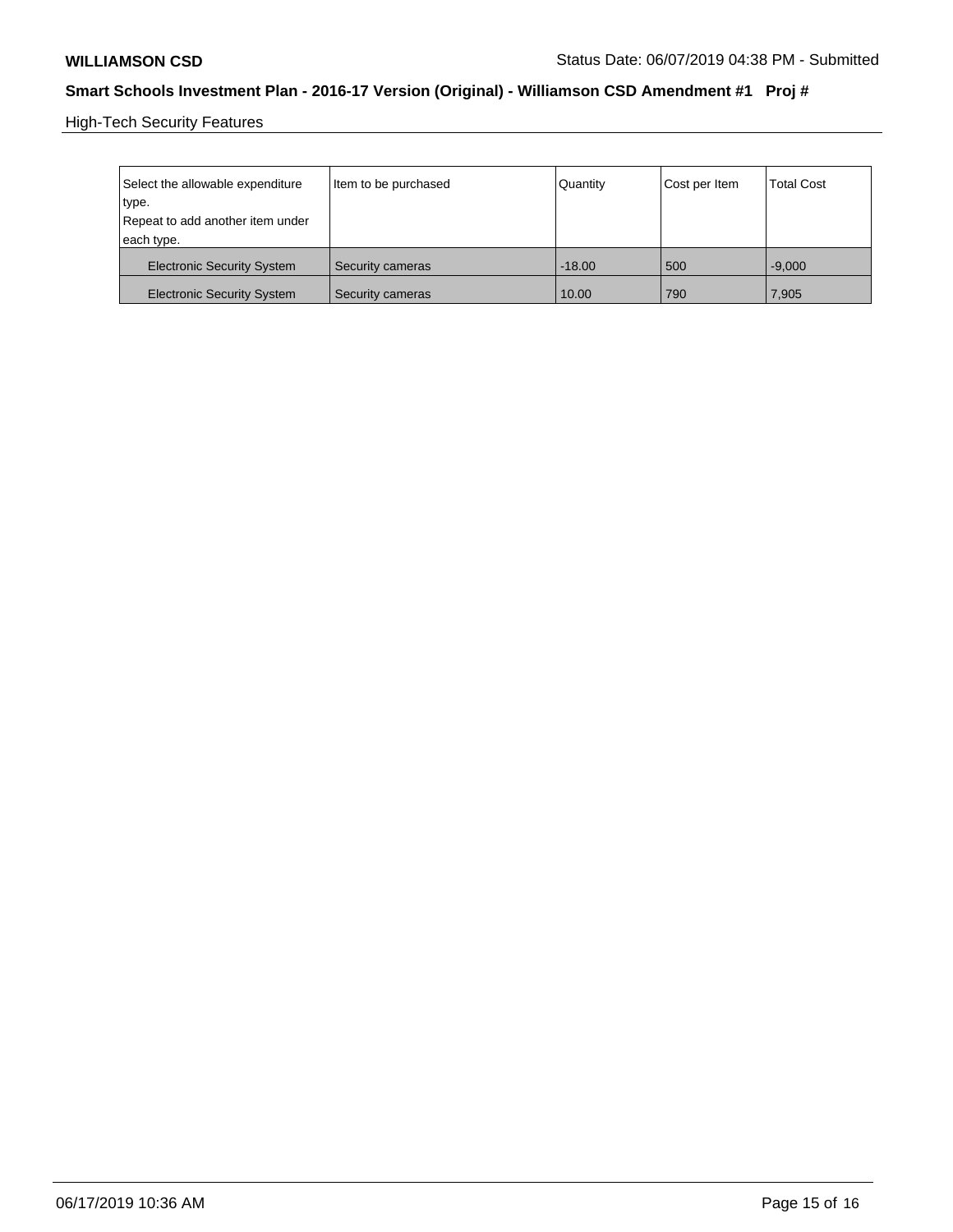High-Tech Security Features

| Select the allowable expenditure<br>type.<br>Repeat to add another item under<br>each type. | Item to be purchased | Quantity | Cost per Item | <b>Total Cost</b> |
|---------------------------------------------------------------------------------------------|----------------------|----------|---------------|-------------------|
| <b>Electronic Security System</b>                                                           | Security cameras     | $-18.00$ | 500           | $-9.000$          |
| <b>Electronic Security System</b>                                                           | Security cameras     | 10.00    | 790           | 7,905             |